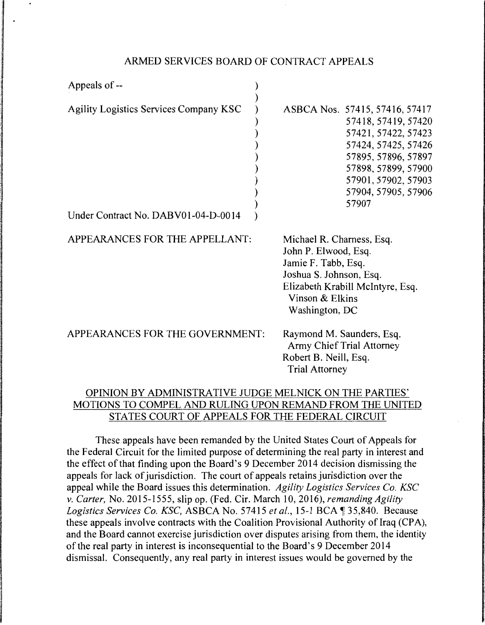### ARMED SERVICES BOARD OF CONTRACT APPEALS

| Appeals of --                                                                        |                                                                                                                                                                                                          |
|--------------------------------------------------------------------------------------|----------------------------------------------------------------------------------------------------------------------------------------------------------------------------------------------------------|
| <b>Agility Logistics Services Company KSC</b><br>Under Contract No. DABV01-04-D-0014 | ASBCA Nos. 57415, 57416, 57417<br>57418, 57419, 57420<br>57421, 57422, 57423<br>57424, 57425, 57426<br>57895, 57896, 57897<br>57898, 57899, 57900<br>57901, 57902, 57903<br>57904, 57905, 57906<br>57907 |
| APPEARANCES FOR THE APPELLANT:                                                       | Michael R. Charness, Esq.<br>John P. Elwood, Esq.<br>Jamie F. Tabb, Esq.<br>Joshua S. Johnson, Esq.<br>Elizabeth Krabill McIntyre, Esq.<br>Vinson & Elkins<br>Washington, DC                             |
| APPEARANCES FOR THE GOVERNMENT:                                                      | Raymond M. Saunders, Esq.<br><b>Army Chief Trial Attorney</b><br>Robert B. Neill, Esq.<br><b>Trial Attorney</b>                                                                                          |

# OPINION BY ADMINISTRATIVE JUDGE MELNICK ON THE PARTIES' MOTIONS TO COMPEL AND RULING UPON REMAND FROM THE UNITED STATES COURT OF APPEALS FOR THE FEDERAL CIRCUIT

These appeals have been remanded by the United States Court of Appeals for the Federal Circuit for the limited purpose of determining the real party in interest and the effect of that finding upon the Board's 9 December 2014 decision dismissing the appeals for lack of jurisdiction. The court of appeals retains jurisdiction over the appeal while the Board issues this determination. *Agility Logistics Services Co. KSC v. Carter,* No. 2015-1555, slip op. (Fed. Cir. March 10, 2016), *remanding Agility Logistics Services Co. KSC, ASBCA No. 57415 et al., 15-1 BCA* 135,840. Because these appeals involve contracts with the Coalition Provisional Authority of Iraq (CPA), and the Board cannot exercise jurisdiction over disputes arising from them, the identity of the real party in interest is inconsequential to the Board's 9 December 2014 dismissal. Consequently, any real party in interest issues would be governed by the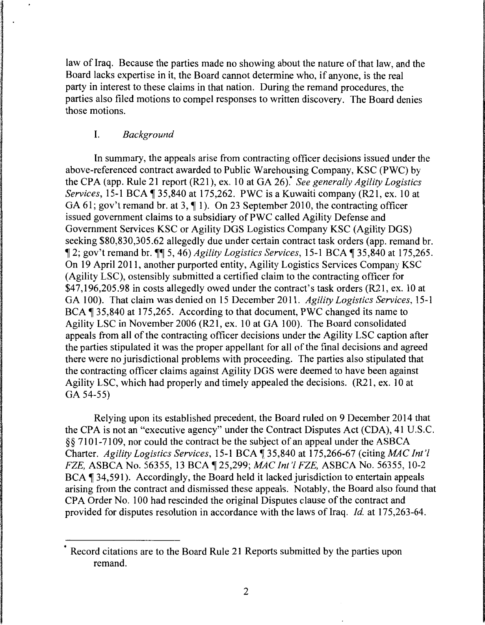law of Iraq. Because the parties made no showing about the nature of that law, and the Board lacks expertise in it, the Board cannot determine who, if anyone, is the real party in interest to these claims in that nation. During the remand procedures, the parties also filed motions to compel responses to written discovery. The Board denies those motions.

# I. *Background*

In summary, the appeals arise from contracting officer decisions issued under the above-referenced contract awarded to Public Warehousing Company, KSC (PWC) by the CPA ( app. Rule 21 report (R21 ), ex. 10 at GA 26).\* *See generally Agility Logistics Services,* 15-1 BCA 135,840 at 175,262. PWC is a Kuwaiti company (R21, ex. 10 at GA 61; gov't remand br. at 3,  $\P$  1). On 23 September 2010, the contracting officer issued government claims to a subsidiary of PWC called Agility Defense and Government Services KSC or Agility DGS Logistics Company KSC (Agility DGS) seeking \$80,830,305.62 allegedly due under certain contract task orders (app. remand br. **12**; gov't remand br. **11** 5, 46) *Agility Logistics Services*, 15-1 BCA 135,840 at 175,265. On 19 April 2011, another purported entity, Agility Logistics Services Company KSC (Agility LSC), ostensibly submitted a certified claim to the contracting officer for \$47,196,205.98 in costs allegedly owed under the contract's task orders (R21, ex. 10 at GA 100). That claim was denied on 15 December 2011. *Agility Logistics Services,* 15-1 BCA 1 35,840 at 175,265. According to that document, PWC changed its name to Agility LSC in November 2006 (R21, ex. 10 at GA 100). The Board consolidated appeals from all of the contracting officer decisions under the Agility LSC caption after the parties stipulated it was the proper appellant for all of the final decisions and agreed there were no jurisdictional problems with proceeding. The parties also stipulated that the contracting officer claims against Agility DGS were deemed to have been against Agility LSC, which had properly and timely appealed the decisions. (R21, ex. 10 at GA 54-55)

Relying upon its established precedent, the Board ruled on 9 December 2014 that the CPA is not an "executive agency" under the Contract Disputes Act (CDA), 41 U.S.C. §§ 7101-7109, nor could the contract be the subject of an appeal under the ASBCA Charter. *Agility Logistics Services*, 15-1 BCA ¶ 35,840 at 175,266-67 (citing *MAC Int'l FZE, ASBCA No. 56355, 13 BCA 125,299; <i>MAC Int'l FZE, ASBCA No. 56355, 10-2* BCA  $\parallel$  34,591). Accordingly, the Board held it lacked jurisdiction to entertain appeals arising from the contract and dismissed these appeals. Notably, the Board also found that CPA Order No. 100 had rescinded the original Disputes clause of the contract and provided for disputes resolution in accordance with the laws of Iraq. *Id.* at 175,263-64.

<sup>\*</sup> Record citations are to the Board Rule 21 Reports submitted by the parties upon remand.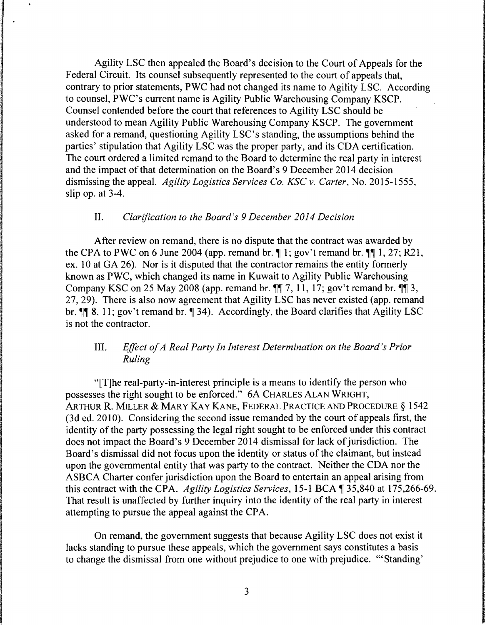Agility LSC then appealed the Board's decision to the Court of Appeals for the Federal Circuit. Its counsel subsequently represented to the court of appeals that, contrary to prior statements, PWC had not changed its name to Agility LSC. According to counsel, PWC's current name is Agility Public Warehousing Company KSCP. Counsel contended before the court that references to Agility LSC should be understood to mean Agility Public Warehousing Company KSCP. The government asked for a remand, questioning Agility LSC's standing, the assumptions behind the parties' stipulation that Agility LSC was the proper party, and its CDA certification. The court ordered a limited remand to the Board to determine the real party in interest and the impact of that determination on the Board's 9 December 2014 decision dismissing the appeal. *Agility Logistics Services Co. KSC v. Carter,* No. 2015-1555, slip op. at 3-4.

## II. *Clarification to the Board's 9 December 2014 Decision*

After review on remand, there is no dispute that the contract was awarded by the CPA to PWC on 6 June 2004 (app. remand br.  $\P$  1; gov't remand br.  $\P$  $\P$  1, 27; R21, ex. 10 at GA 26). Nor is it disputed that the contractor remains the entity formerly known as PWC, which changed its name in Kuwait to Agility Public Warehousing Company KSC on 25 May 2008 (app. remand br.  $\P\P$  7, 11, 17; gov't remand br.  $\P\P$  3, 27, 29). There is also now agreement that Agility LSC has never existed (app. remand br.  $\P$  8, 11; gov't remand br.  $\P$  34). Accordingly, the Board clarifies that Agility LSC is not the contractor.

# III. *Effect of A Real Party In Interest Determination on the Board's Prior Ruling*

"[T]he real-party-in-interest principle is a means to identify the person who possesses the right sought to be enforced." 6A CHARLES ALAN WRIGHT, ARTHUR R. MILLER & MARY KAY KANE, FEDERAL PRACTICE AND PROCEDURE § 1542 (3d ed. 2010). Considering the second issue remanded by the court of appeals first, the identity of the party possessing the legal right sought to be enforced under this contract does not impact the Board's 9 December 2014 dismissal for lack of jurisdiction. The Board's dismissal did not focus upon the identity or status of the claimant, but instead upon the governmental entity that was party to the contract. Neither the CDA nor the ASBCA Charter confer jurisdiction upon the Board to entertain an appeal arising from this contract with the CPA. *Agility Logistics Services*, 15-1 BCA  $\P$ 35,840 at 175,266-69. That result is unaffected by further inquiry into the identity of the real party in interest attempting to pursue the appeal against the CPA.

On remand, the government suggests that because Agility LSC does not exist it lacks standing to pursue these appeals, which the government says constitutes a basis to change the dismissal from one without prejudice to one with prejudice. '"Standing'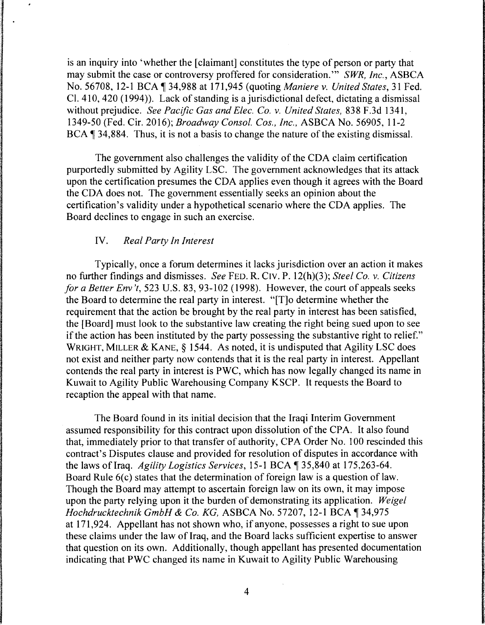is an inquiry into 'whether the [claimant] constitutes the type of person or party that may submit the case or controversy proffered for consideration."' *SWR, Inc.,* ASBCA No. 56708, 12-1BCA~34,988 at 171,945 (quoting *Maniere v. United States,* 31 Fed. Cl. 410, 420 (1994) ). Lack of standing is a jurisdictional defect, dictating a dismissal without prejudice. *See Pacific Gas and Elec. Co. v. United States,* 83 8 F .3d 1341, 1349-50 (Fed. Cir. 2016); *Broadway Consol. Cos., Inc.,* ASBCA No. 56905, 11-2 BCA  $\P$  34,884. Thus, it is not a basis to change the nature of the existing dismissal.

The government also challenges the validity of the CDA claim certification purportedly submitted by Agility LSC. The government acknowledges that its attack upon the certification presumes the CDA applies even though it agrees with the Board the CDA does not. The government essentially seeks an opinion about the certification's validity under a hypothetical scenario where the CDA applies. The Board declines to engage in such an exercise.

## IV. *Real Party In Interest*

Typically, once a forum determines it lacks jurisdiction over an action it makes no further findings and dismisses. *See* FED. R. CIV. P. 12(h)(3); *Steel Co. v. Citizens for a Better Env 't,* 523 U.S. 83, 93-102 (1998). However, the court of appeals seeks the Board to determine the real party in interest. "[T]o determine whether the requirement that the action be brought by the real party in interest has been satisfied, the [Board] must look to the substantive law creating the right being sued upon to see if the action has been instituted by the party possessing the substantive right to relief." WRIGHT, MILLER & KANE, § 1544. As noted, it is undisputed that Agility LSC does not exist and neither party now contends that it is the real party in interest. Appellant contends the real party in interest is PWC, which has now legally changed its name in Kuwait to Agility Public Warehousing Company KSCP. It requests the Board to recaption the appeal with that name.

The Board found in its initial decision that the Iraqi Interim Government assumed responsibility for this contract upon dissolution of the CPA. It also found that, immediately prior to that transfer of authority, CPA Order No. I 00 rescinded this contract's Disputes clause and provided for resolution of disputes in accordance with the laws of Iraq. *Agility Logistics Services*, 15-1 BCA ¶ 35,840 at 175,263-64. Board Rule  $6(c)$  states that the determination of foreign law is a question of law. Though the Board may attempt to ascertain foreign law on its own, it may impose upon the party relying upon it the burden of demonstrating its application. *Weigel Hochdrucktechnik GmbH & Co. KG, ASBCA No. 57207, 12-1 BCA* 134,975 at 171,924. Appellant has not shown who, if anyone, possesses a right to sue upon these claims under the law of Iraq, and the Board lacks sufficient expertise to answer that question on its own. Additionally, though appellant has presented documentation indicating that PWC changed its name in Kuwait to Agility Public Warehousing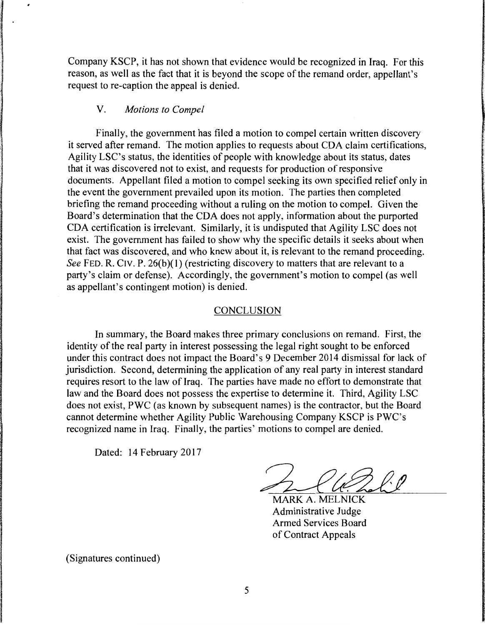Company KSCP, it has not shown that evidence would be recognized in Iraq. For this reason, as well as the fact that it is beyond the scope of the remand order, appellant's request to re-caption the appeal is denied.

### V. *Motions to Compel*

Finally, the government has filed a motion to compel certain written discovery it served after remand. The motion applies to requests about CDA claim certifications, Agility LSC's status, the identities of people with knowledge about its status, dates that it was discovered not to exist, and requests for production of responsive documents. Appellant filed a motion to compel seeking its own specified relief only in the event the government prevailed upon its motion. The parties then completed briefing the remand proceeding without a ruling on the motion to compel. Given the Board's determination that the CDA does not apply, information about the purported CDA certification is irrelevant. Similarly, it is undisputed that Agility LSC does not exist. The government has failed to show why the specific details it seeks about when that fact was discovered, and who knew about it, is relevant to the remand proceeding. *See FED. R. CIV. P. 26(b)(1) (restricting discovery to matters that are relevant to a* party's claim or defense). Accordingly, the government's motion to compel (as well as appellant's contingent motion) is denied.

#### CONCLUSION

In summary, the Board makes three primary conclusions on remand. First, the identity of the real party in interest possessing the legal right sought to be enforced under this contract does not impact the Board's 9 December 2014 dismissal for lack of jurisdiction. Second, determining the application of any real party in interest standard requires resort to the law of Iraq. The parties have made no effort to demonstrate that law and the Board does not possess the expertise to determine it. Third, Agility LSC does not exist, PWC (as known by subsequent names) is the contractor, but the Board cannot determine whether Agility Public Warehousing Company KSCP is PWC's recognized name in Iraq. Finally, the parties' motions to compel are denied.

Dated: 14 February 2017

*2=-et/Z&*  MARK A. MELNICK

Administrative Judge Armed Services Board of Contract Appeals

(Signatures continued)